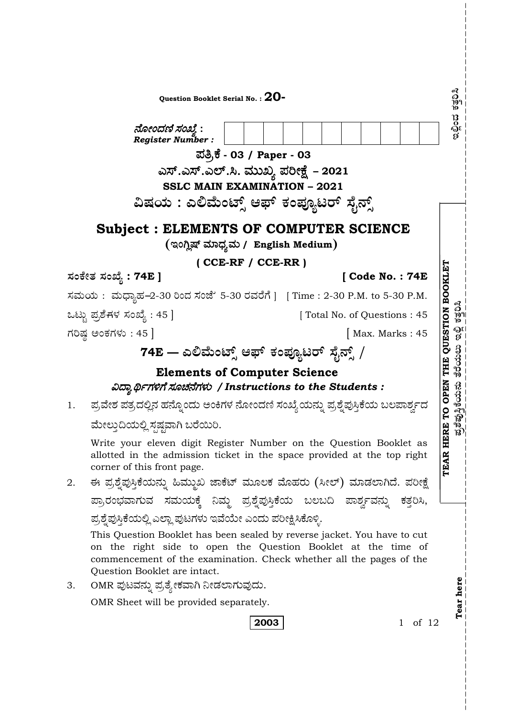|                                    | Question Booklet Serial No. : $\bf{20}$ -<br>ನೋಂದಣಿ ಸಂಖ್ಯೆ :<br>Register Number:<br>ಪತ್ರಿಕೆ - 03 / Paper - 03                                                                                                                                    | ดวิ<br>วัตว<br>าง<br>ಶಂದಿ                       |  |  |  |  |
|------------------------------------|--------------------------------------------------------------------------------------------------------------------------------------------------------------------------------------------------------------------------------------------------|-------------------------------------------------|--|--|--|--|
|                                    | ಎಸ್.ಎಸ್.ಎಲ್.ಸಿ. ಮುಖ್ಯ ಪರೀಕ್ಷೆ  – 2021                                                                                                                                                                                                            |                                                 |  |  |  |  |
|                                    | <b>SSLC MAIN EXAMINATION - 2021</b>                                                                                                                                                                                                              |                                                 |  |  |  |  |
|                                    | ವಿಷಯ : ಎಲಿಮೆಂಟ್ಸ್ ಆಫ್ ಕಂಪ್ಯೂಟರ್ ಸೈನ್ಸ್                                                                                                                                                                                                           |                                                 |  |  |  |  |
|                                    | <b>Subject : ELEMENTS OF COMPUTER SCIENCE</b>                                                                                                                                                                                                    |                                                 |  |  |  |  |
| (ಇಂಗ್ಲಿಷ್ ಮಾಧ್ಯಮ / English Medium) |                                                                                                                                                                                                                                                  |                                                 |  |  |  |  |
|                                    | $($ CCE-RF $/$ CCE-RR $)$                                                                                                                                                                                                                        |                                                 |  |  |  |  |
|                                    | ಸಂಕೇತ ಸಂಖ್ಯೆ : 74E ]<br>[Code No.: 74E]                                                                                                                                                                                                          |                                                 |  |  |  |  |
|                                    | ಸಮಯ: ಮಧ್ಯಾಹ-2-30 ರಿಂದ ಸಂಜೆ' 5-30 ರವರೆಗೆ ] [Time : 2-30 P.M. to 5-30 P.M.                                                                                                                                                                         | <b>THE QUESTION BOOKLET</b>                     |  |  |  |  |
|                                    | ಒಟ್ಟು ಪ್ರಶೆಗಳ ಸಂಖ್ಯೆ : 45 ]<br>[Total No. of Questions: 45]                                                                                                                                                                                      | ดี  <br> ดูๆ<br> ห                              |  |  |  |  |
|                                    | ಗರಿಷ್ಠ ಅಂಕಗಳು : 45 ]<br>Max. Marks: 45                                                                                                                                                                                                           | $\frac{\partial}{\partial \xi}$                 |  |  |  |  |
|                                    | 74E — ಎಲಿಮೆಂಟ್ಸ್ ಆಫ್ ಕಂಪ್ಯೂಟರ್ ಸೈನ್ಸ್ /                                                                                                                                                                                                          | ತೆರೆಯಲು                                         |  |  |  |  |
|                                    | <b>Elements of Computer Science</b>                                                                                                                                                                                                              |                                                 |  |  |  |  |
|                                    | ವಿದ್ಯಾರ್ಥಿಗಳಿಗೆ ಸೂಚನೆಗಳು / Instructions to the Students :                                                                                                                                                                                        |                                                 |  |  |  |  |
| 1.                                 | ್ರಪವೇಶ ಪತ್ರದಲ್ಲಿನ ಹನ್ನೊಂದು ಅಂಕಿಗಳ ನೋಂದಣಿ ಸಂಖ್ಯೆಯನ್ನು ಪ್ರಶ್ನೆಪುಸ್ತಿಕೆಯ ಬಲಪಾರ್ಶ್ವದ                                                                                                                                                                 | <b>HERE TO OPEN</b><br><u>ಪ್ರಶೆಪುಸ್ತಿ</u> ಕೆಯನು |  |  |  |  |
|                                    | ಮೇಲ್ತುದಿಯಲ್ಲಿ ಸ್ಪಷ್ಟವಾಗಿ ಬರೆಯಿರಿ.                                                                                                                                                                                                                |                                                 |  |  |  |  |
|                                    | Write your eleven digit Register Number on the Question Booklet as<br>allotted in the admission ticket in the space provided at the top right<br>corner of this front page.                                                                      | TEAR                                            |  |  |  |  |
| 2.                                 | ಈ ಪ್ರಶ್ನೆಪುಸ್ತಿಕೆಯನ್ನು ಹಿಮ್ಮುಖ ಜಾಕೆಟ್ ಮೂಲಕ ಮೊಹರು (ಸೀಲ್) ಮಾಡಲಾಗಿದೆ. ಪರೀಕ್ಷೆ                                                                                                                                                                       |                                                 |  |  |  |  |
|                                    | ಪ್ರಾರಂಭವಾಗುವ ಸಮಯಕ್ಕೆ ನಿಮ್ಮ ಪ್ರಶ್ನೆಪುಸ್ತಿಕೆಯ ಬಲಬದಿ ಪಾರ್ಶ್ವವನ್ನು ಕತ್ತರಿಸಿ,                                                                                                                                                                         |                                                 |  |  |  |  |
|                                    | ಪ್ರಶ್ನೆಪುಸ್ತಿಕೆಯಲ್ಲಿ ಎಲ್ಲಾ ಪುಟಗಳು ಇವೆಯೇ ಎಂದು ಪರೀಕ್ಷಿಸಿಕೊಳ್ಳಿ.                                                                                                                                                                                    |                                                 |  |  |  |  |
|                                    | This Question Booklet has been sealed by reverse jacket. You have to cut<br>on the right side to open the Question Booklet at the time of<br>commencement of the examination. Check whether all the pages of the<br>Question Booklet are intact. |                                                 |  |  |  |  |
| 3.                                 | OMR ಪುಟವನ್ನು ಪ್ರತ್ಯೇಕವಾಗಿ ನೀಡಲಾಗುವುದು.                                                                                                                                                                                                           |                                                 |  |  |  |  |
|                                    | OMR Sheet will be provided separately.                                                                                                                                                                                                           | Tear here                                       |  |  |  |  |
|                                    | 2003<br>of $12$<br>1                                                                                                                                                                                                                             |                                                 |  |  |  |  |
|                                    |                                                                                                                                                                                                                                                  |                                                 |  |  |  |  |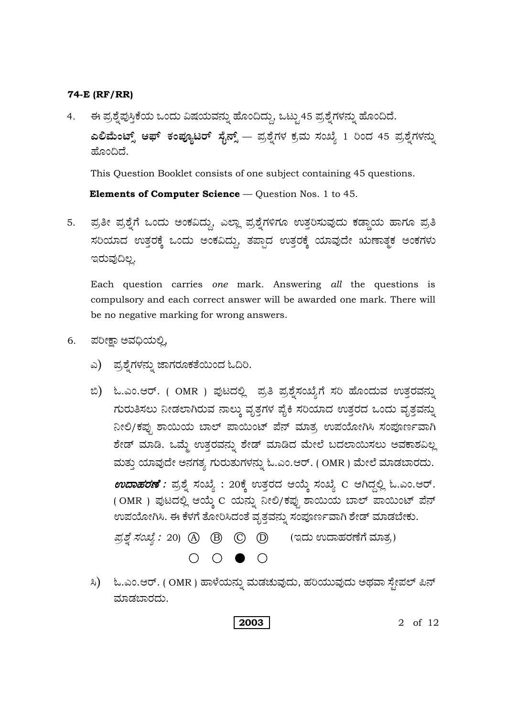ಈ ಪ್ರಶ್ನೆಪುಸ್ತಿಕೆಯ ಒಂದು ವಿಷಯವನ್ನು ಹೊಂದಿದ್ದು, ಒಟ್ಟು 45 ಪ್ರಶ್ನೆಗಳನ್ನು ಹೊಂದಿದೆ.  $4.$ ಎಲಿಮೆಂಟ್ಸ್ ಆಫ್ ಕಂಪ್ಯೂಟರ್ ಸೈನ್ಸ್ — ಪ್ರಶ್ನೆಗಳ ಕ್ರಮ ಸಂಖ್ಯೆ 1 ರಿಂದ 45 ಪ್ರಶ್ನೆಗಳನ್ನು ಹೊಂದಿದೆ.

This Question Booklet consists of one subject containing 45 questions.

Elements of Computer Science - Question Nos. 1 to 45.

ಪ್ರತೀ ಪ್ರಶ್ನೆಗೆ ಒಂದು ಅಂಕವಿದ್ದು, ಎಲ್ಲಾ ಪ್ರಶ್ನೆಗಳಿಗೂ ಉತ್ತರಿಸುವುದು ಕಡ್ಡಾಯ ಹಾಗೂ ಪ್ರತಿ 5. ಸರಿಯಾದ ಉತ್ತರಕ್ಕೆ ಒಂದು ಅಂಕವಿದ್ದು, ತಪ್ಪಾದ ಉತ್ತರಕ್ಕೆ ಯಾವುದೇ ಋಣಾತ್ಮಕ ಅಂಕಗಳು ಇರುವುದಿಲ್ಲ.

Each question carries one mark. Answering all the questions is compulsory and each correct answer will be awarded one mark. There will be no negative marking for wrong answers.

- ಪರೀಕ್ಷಾ ಅವಧಿಯಲ್ಲಿ, 6.
	- ಎ) ಪ್ರಶೈಗಳನ್ನು ಜಾಗರೂಕತೆಯಿಂದ ಓದಿರಿ.
	- ಬಿ) ಓ.ಎಂ.ಆರ್. ( OMR ) ಪುಟದಲ್ಲಿ ಪ್ರತಿ ಪ್ರಶ್ನೆಸಂಖ್ಯೆಗೆ ಸರಿ ಹೊಂದುವ ಉತ್ತರವನ್ನು ಗುರುತಿಸಲು ನೀಡಲಾಗಿರುವ ನಾಲ್ಕು ವೃತ್ತಗಳ ಪೈಕಿ ಸರಿಯಾದ ಉತ್ತರದ ಒಂದು ವೃತ್ತವನ್ನು ನೀಲಿ/ಕಪ್ಪು ಶಾಯಿಯ ಬಾಲ್ ಪಾಯಿಂಟ್ ಪೆನ್ ಮಾತ್ರ ಉಪಯೋಗಿಸಿ ಸಂಪೂರ್ಣವಾಗಿ ಶೇಡ್ ಮಾಡಿ. ಒಮ್ಮೆ ಉತ್ತರವನ್ನು ಶೇಡ್ ಮಾಡಿದ ಮೇಲೆ ಬದಲಾಯಿಸಲು ಅವಕಾಶವಿಲ್ಲ ಮತ್ತು ಯಾವುದೇ ಅನಗತ್ಯ ಗುರುತುಗಳನ್ನು ಓ.ಎಂ.ಆರ್. (OMR) ಮೇಲೆ ಮಾಡಬಾರದು. *ಉದಾಹರಣೆ :* ಪ್ರಶ್ನೆ ಸಂಖ್ಯೆ : 20ಕ್ಕೆ ಉತ್ತರದ ಆಯ್ಕೆ ಸಂಖ್ಯೆ C ಆಗಿದ್ದಲ್ಲಿ ಓ.ಎಂ.ಆರ್. (OMR) ಪುಟದಲ್ಲಿ ಆಯ್ತೆ C ಯನ್ನು ನೀಲಿ/ಕಪ್ಪು ಶಾಯಿಯ ಬಾಲ್ ಪಾಯಿಂಟ್ ಪೆನ್ ಉಪಯೋಗಿಸಿ. ಈ ಕೆಳಗೆ ತೋರಿಸಿದಂತೆ ವೃತ್ತವನ್ನು ಸಂಪೂರ್ಣವಾಗಿ ಶೇಡ್ ಮಾಡಬೇಕು. *ಪ್ರಶ್ನೆ ಸಂಖ್ಯೆ :* 20) (A) (B) (O) () (ಇದು ಉದಾಹರಣೆಗೆ ಮಾತ್ರ)  $O$   $O$   $O$
	- ಸಿ) ಓ.ಎಂ.ಆರ್. (OMR) ಹಾಳೆಯನ್ನು ಮಡಚುವುದು, ಹರಿಯುವುದು ಅಥವಾ ಸ್ಪೇಪಲ್ ಪಿನ್ ಮಾಡಬಾರದು.

2003

2 of 12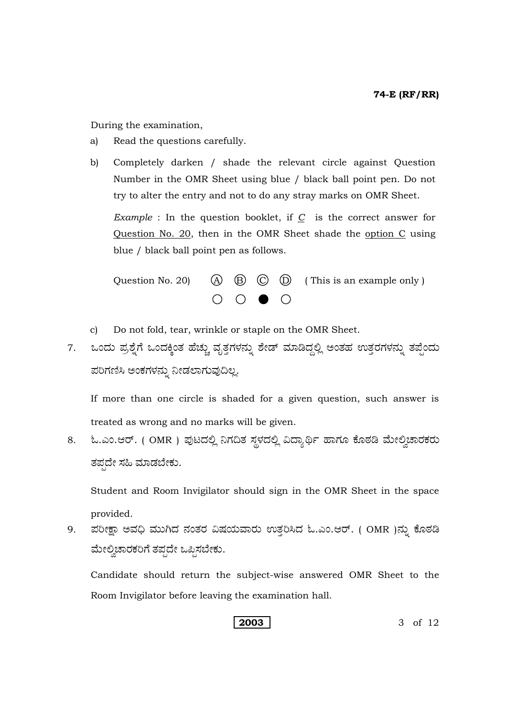During the examination,

- a) Read the questions carefully.
- b) Completely darken / shade the relevant circle against Question Number in the OMR Sheet using blue / black ball point pen. Do not try to alter the entry and not to do any stray marks on OMR Sheet.

*Example* : In the question booklet, if *C* is the correct answer for Question No. 20, then in the OMR Sheet shade the option C using blue / black ball point pen as follows.



- c) Do not fold, tear, wrinkle or staple on the OMR Sheet.
- 7. ಒಂದು ಪ್ರಶ್ನೆಗೆ ಒಂದಕ್ಕಿಂತ ಹೆಚ್ಚು ವೃತ್ತಗಳನ್ನು ಶೇಡ್ ಮಾಡಿದ್ದಲ್ಲಿ ಅಂತಹ ಉತ್ತರಗಳನ್ನು ತಪ್ಪೆಂದು ಪರಿಗಣಿಸಿ ಅಂಕಗಳನ್ನು ನೀಡಲಾಗುವುದಿಲ್ಲ.

 If more than one circle is shaded for a given question, such answer is treated as wrong and no marks will be given.

8. ಓ.ಎಂ.ಆರ್. ( OMR ) ಪುಟದಲ್ಲಿ ನಿಗದಿತ ಸ್ಥಳದಲ್ಲಿ ವಿದ್ಯಾರ್ಥಿ ಹಾಗೂ ಕೊಠಡಿ ಮೇಲ್ವಿಚಾರಕರು ತಪ್ಪದೇ ಸಹಿ ಮಾಡಬೇಕು.

 Student and Room Invigilator should sign in the OMR Sheet in the space provided.

9. ಪರೀಕ್ಷಾ ಅವಧಿ ಮುಗಿದ ನಂತರ ವಿಷಯವಾರು ಉತ್ತರಿಸಿದ ಓ.ಎಂ.ಆರ್. ( OMR )ನ್ನು ಕೊಠಡಿ ಮೇಲ್ವಿಚಾರಕರಿಗೆ ತಪ್ಪದೇ ಒಪ್ಪಿಸಬೇಕು.

 Candidate should return the subject-wise answered OMR Sheet to the Room Invigilator before leaving the examination hall.

**2003** 3 of 12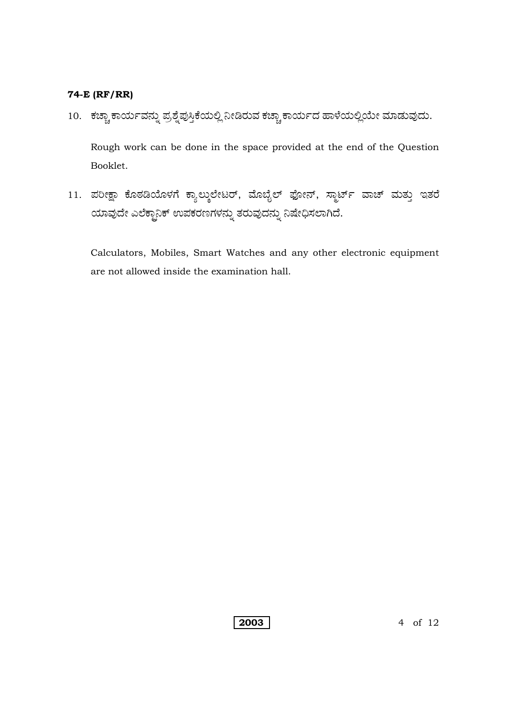10. ಕಚ್ಚಾ ಕಾರ್ಯವನ್ನು ಪ್ರಶ್ನೆಪುಸ್ತಿಕೆಯಲ್ಲಿ ನೀಡಿರುವ ಕಚ್ಚಾ ಕಾರ್ಯದ ಹಾಳೆಯಲ್ಲಿಯೇ ಮಾಡುವುದು.

Rough work can be done in the space provided at the end of the Question Booklet.

11. ಪರೀಕ್ಷಾ ಕೊಠಡಿಯೊಳಗೆ ಕ್ಯಾಲ್ಕುಲೇಟರ್, ಮೊಬೈಲ್ ಫೋನ್, ಸ್ಮಾರ್ಟ್ ವಾಚ್ ಮತ್ತು ಇತರೆ ಯಾವುದೇ ಎಲೆಕ್ಟಾನಿಕ್ ಉಪಕರಣಗಳನ್ನು ತರುವುದನ್ನು ನಿಷೇಧಿಸಲಾಗಿದೆ.

Calculators, Mobiles, Smart Watches and any other electronic equipment are not allowed inside the examination hall.

2003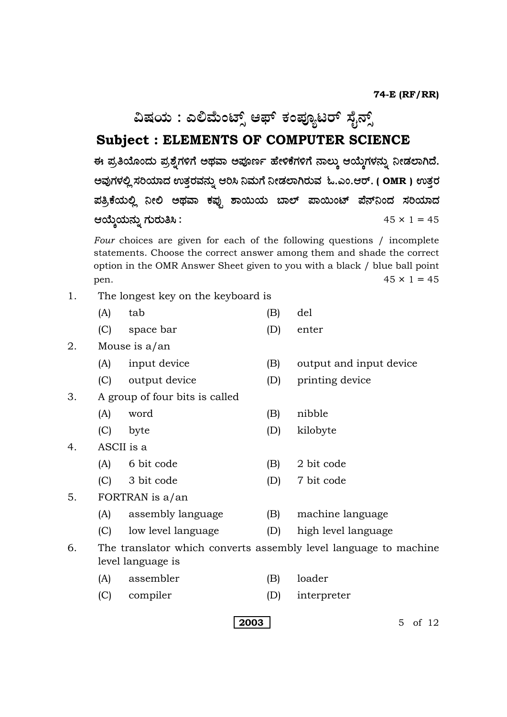**ವಿಷಯ : ಎಲಿಮೆಂಟ್ಸ್ ಆಫ್ ಕಂಪ್ಯೂಟರ್ ಸೈನ್ಸ್** 

# **Subject : ELEMENTS OF COMPUTER SCIENCE**

ಈ ಪ್ರತಿಯೊಂದು ಪ್ರಶೈಗಳಿಗೆ ಅಥವಾ ಅಪೂರ್ಣ ಹೇಳಿಕೆಗಳಿಗೆ ನಾಲ್ಕು ಆಯ್ಕೆಗಳನ್ನು ನೀಡಲಾಗಿದೆ. ಅವುಗಳಲ್ಲಿ ಸರಿಯಾದ ಉತ್ತರವನ್ನು ಆರಿಸಿ ನಿಮಗೆ ನೀಡಲಾಗಿರುವ ಓ.ಎಂ.ಆರ್. ( OMR ) ಉತ್ತರ ಪತ್ರಿಕೆಯಲ್ಲಿ ನೀಲಿ ಅಥವಾ ಕಪ್ಪು ಶಾಯಿಯ ಬಾಲ್ ಪಾಯಿಂಟ್ ಪೆನ್ನಂದ ಸರಿಯಾದ BÁáR¿á®Üá° WÜáÃÜá£Ô **:** 45 × 1 = 45

*Four* choices are given for each of the following questions / incomplete statements. Choose the correct answer among them and shade the correct option in the OMR Answer Sheet given to you with a black / blue ball point pen.  $45 \times 1 = 45$ 

- 1. The longest key on the keyboard is
- (A) tab (B) del
	- (C) space bar (D) enter

### 2. Mouse is a/an

- (A) input device (B) output and input device
- (C) output device (D) printing device
- 3. A group of four bits is called
	- (A) word (B) nibble
	-
- 4. ASCII is a
	- (A) 6 bit code (B) 2 bit code
	- (C) 3 bit code (D) 7 bit code
- 5. FORTRAN is a/an
	- (A) assembly language (B) machine language
	- (C) low level language (D) high level language
- 6. The translator which converts assembly level language to machine level language is
	- (A) assembler (B) loader
	- (C) compiler (D) interpreter

**2003** 5 of 12

- 
- 
- 
- (C) byte (D) kilobyte
	-
- -
	-
	-
	-
	-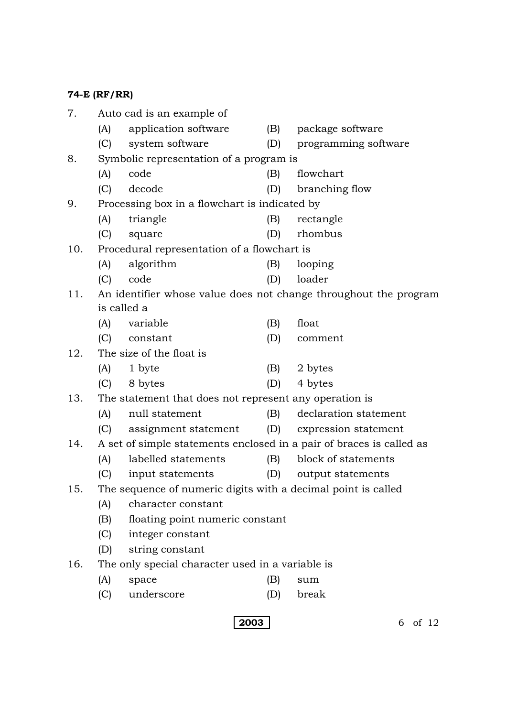| 7.                                                                          |                                                                  | Auto cad is an example of                              |     |                          |  |  |
|-----------------------------------------------------------------------------|------------------------------------------------------------------|--------------------------------------------------------|-----|--------------------------|--|--|
|                                                                             | (A)                                                              | application software                                   | (B) | package software         |  |  |
|                                                                             | (C)                                                              | system software                                        | (D) | programming software     |  |  |
| 8.                                                                          | Symbolic representation of a program is                          |                                                        |     |                          |  |  |
|                                                                             | (A)                                                              | code                                                   | (B) | flowchart                |  |  |
|                                                                             | (C)                                                              | decode                                                 | (D) | branching flow           |  |  |
| 9.<br>Processing box in a flowchart is indicated by                         |                                                                  |                                                        |     |                          |  |  |
|                                                                             | (A)                                                              | triangle                                               | (B) | rectangle                |  |  |
|                                                                             | (C)                                                              | square                                                 | (D) | rhombus                  |  |  |
| 10.                                                                         |                                                                  | Procedural representation of a flowchart is            |     |                          |  |  |
|                                                                             | (A)                                                              | algorithm                                              | (B) | looping                  |  |  |
|                                                                             | (C)                                                              | code                                                   | (D) | loader                   |  |  |
| 11.                                                                         | An identifier whose value does not change throughout the program |                                                        |     |                          |  |  |
|                                                                             |                                                                  |                                                        |     |                          |  |  |
|                                                                             | (A)                                                              | variable                                               | (B) | float                    |  |  |
|                                                                             |                                                                  | (C) constant                                           | (D) | comment                  |  |  |
| 12.                                                                         | The size of the float is                                         |                                                        |     |                          |  |  |
|                                                                             | (A)                                                              | 1 byte                                                 | (B) | 2 bytes                  |  |  |
|                                                                             | (C)                                                              | 8 bytes                                                | (D) | 4 bytes                  |  |  |
| 13.                                                                         |                                                                  | The statement that does not represent any operation is |     |                          |  |  |
|                                                                             | (A)                                                              | null statement                                         | (B) | declaration statement    |  |  |
|                                                                             |                                                                  | (C) assignment statement                               |     | (D) expression statement |  |  |
| A set of simple statements enclosed in a pair of braces is called as<br>14. |                                                                  |                                                        |     |                          |  |  |
|                                                                             | (A)                                                              | labelled statements                                    | (B) | block of statements      |  |  |
|                                                                             | (C)                                                              | input statements                                       |     | (D) output statements    |  |  |
| The sequence of numeric digits with a decimal point is called<br>15.        |                                                                  |                                                        |     |                          |  |  |
|                                                                             | (A)                                                              | character constant                                     |     |                          |  |  |
|                                                                             | (B)                                                              | floating point numeric constant                        |     |                          |  |  |
|                                                                             | (C)                                                              | integer constant                                       |     |                          |  |  |
|                                                                             | (D)                                                              | string constant                                        |     |                          |  |  |
| 16.                                                                         | The only special character used in a variable is                 |                                                        |     |                          |  |  |
|                                                                             | (A)                                                              | space                                                  | (B) | sum                      |  |  |

(C) underscore (D) break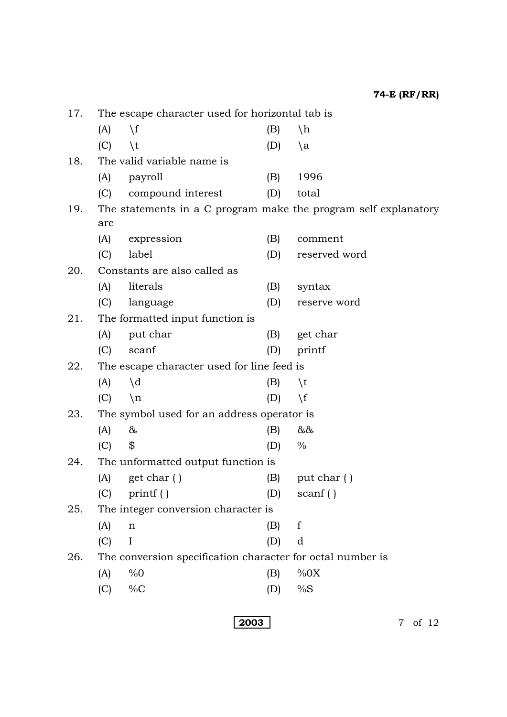17. The escape character used for horizontal tab is (A)  $\setminus f$  (B)  $\setminus h$  $(C)$  \t  $(D)$  \a 18. The valid variable name is (A) payroll (B) 1996 (C) compound interest (D) total 19. The statements in a C program make the program self explanatory are (A) expression (B) comment (C) label (D) reserved word 20. Constants are also called as (A) literals (B) syntax (C) language (D) reserve word 21. The formatted input function is (A) put char (B) get char (C) scanf (D) printf 22. The escape character used for line feed is  $(A)$   $\qquad d$   $(B)$   $\qquad t$ (C)  $\setminus n$  (D)  $\setminus f$ 23. The symbol used for an address operator is (A) & (B)  $\&$ (C)  $\$\$  (D)  $\%$ 24. The unformatted output function is (A) get char ( )  $(B)$  put char ( )  $(C)$  printf ( )  $(D)$  scanf ( ) 25. The integer conversion character is (A) n (B) f (C) I (D) d 26. The conversion specification character for octal number is (A)  $\%0$  (B)  $\%0X$ (C) %C (D) %S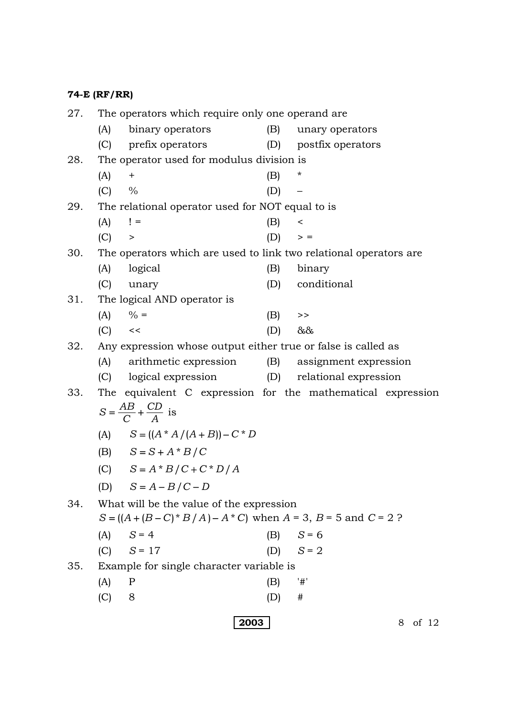|  | 74-E (RF/RR) |
|--|--------------|
|--|--------------|

| 27. | The operators which require only one operand are.                          |                                                  |           |                                                             |  |  |
|-----|----------------------------------------------------------------------------|--------------------------------------------------|-----------|-------------------------------------------------------------|--|--|
|     | (A)                                                                        | binary operators                                 | (B)       | unary operators                                             |  |  |
|     |                                                                            | (C) prefix operators                             |           | (D) postfix operators                                       |  |  |
| 28. | The operator used for modulus division is                                  |                                                  |           |                                                             |  |  |
|     | (A)                                                                        | $+$                                              | (B)       | $^\star$                                                    |  |  |
|     | $(C) \frac{9}{6}$                                                          |                                                  | (D)       |                                                             |  |  |
| 29. | The relational operator used for NOT equal to is                           |                                                  |           |                                                             |  |  |
|     | $(A)$ ! =                                                                  |                                                  | (B)       | $\,<\,$                                                     |  |  |
|     | (C) >                                                                      |                                                  | $(D)$ > = |                                                             |  |  |
| 30. | The operators which are used to link two relational operators are          |                                                  |           |                                                             |  |  |
|     | (A)                                                                        | logical                                          | (B)       | binary                                                      |  |  |
|     | (C)                                                                        | unary                                            | (D)       | conditional                                                 |  |  |
| 31. | The logical AND operator is                                                |                                                  |           |                                                             |  |  |
|     |                                                                            | (A) $\% =$                                       | (B)       | $\,>$                                                       |  |  |
|     | $(C) \leq$                                                                 |                                                  | (D)       | $&\&\&$                                                     |  |  |
| 32. | Any expression whose output either true or false is called as              |                                                  |           |                                                             |  |  |
|     |                                                                            | (A) arithmetic expression                        |           | (B) assignment expression                                   |  |  |
|     |                                                                            | (C) logical expression (D) relational expression |           |                                                             |  |  |
| 33. |                                                                            |                                                  |           | The equivalent C expression for the mathematical expression |  |  |
|     | $S = \frac{AB}{C} + \frac{CD}{A}$ is                                       |                                                  |           |                                                             |  |  |
|     |                                                                            | (A) $S = ((A * A / (A + B)) - C * D)$            |           |                                                             |  |  |
|     |                                                                            | (B) $S = S + A * B / C$                          |           |                                                             |  |  |
|     |                                                                            | (C) $S = A * B / C + C * D / A$                  |           |                                                             |  |  |
|     | (D)                                                                        | $S = A - B/C - D$                                |           |                                                             |  |  |
| 34. | What will be the value of the expression                                   |                                                  |           |                                                             |  |  |
|     | $S = ((A + (B - C) * B / A) - A * C)$ when $A = 3$ , $B = 5$ and $C = 2$ ? |                                                  |           |                                                             |  |  |
|     | (A)                                                                        | $S = 4$                                          |           | (B) $S = 6$                                                 |  |  |
|     |                                                                            | $(C)$ $S = 17$                                   |           | $(D)$ $S = 2$                                               |  |  |
| 35. | Example for single character variable is                                   |                                                  |           |                                                             |  |  |
|     | (A)                                                                        | P                                                | (B)       | '#'                                                         |  |  |
|     | (C)                                                                        | 8                                                | (D)       | $^{\#}$                                                     |  |  |
|     |                                                                            |                                                  |           |                                                             |  |  |
|     |                                                                            | 2003                                             |           | of $12$<br>8                                                |  |  |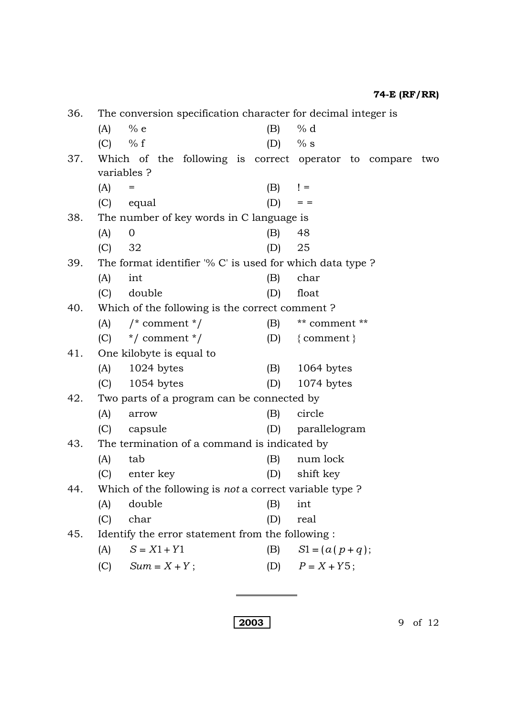36. The conversion specification character for decimal integer is (A) % e (B) % d (C) % f (D) % s 37. Which of the following is correct operator to compare two variables ?  $(A) = (B) \t=$ (C) equal  $(D) =$ 38. The number of key words in C language is (A) 0 (B) 48 (C) 32 (D) 25 39. The format identifier '% C' is used for which data type ? (A) int (B) char (C) double (D) float 40. Which of the following is the correct comment ? (A)  $\frac{1}{2}$   $\frac{1}{2}$   $\frac{1}{2}$  comment  $\frac{1}{2}$   $\frac{1}{2}$   $\frac{1}{2}$  (B)  $\frac{1}{2}$  comment  $\frac{1}{2}$ (C)  $*/$  comment  $*/$  (D)  $\{comment\}$ 41. One kilobyte is equal to (A) 1024 bytes (B) 1064 bytes (C) 1054 bytes (D) 1074 bytes 42. Two parts of a program can be connected by (A) arrow (B) circle (C) capsule (D) parallelogram 43. The termination of a command is indicated by (A) tab (B) num lock (C) enter key (D) shift key 44. Which of the following is *not* a correct variable type ? (A) double (B) int (C) char (D) real 45. Identify the error statement from the following : (A)  $S = X1 + Y1$  (B)  $S1 = (a(p+q));$ (C)  $Sum = X + Y$ ; (D)  $P = X + Y5$ ;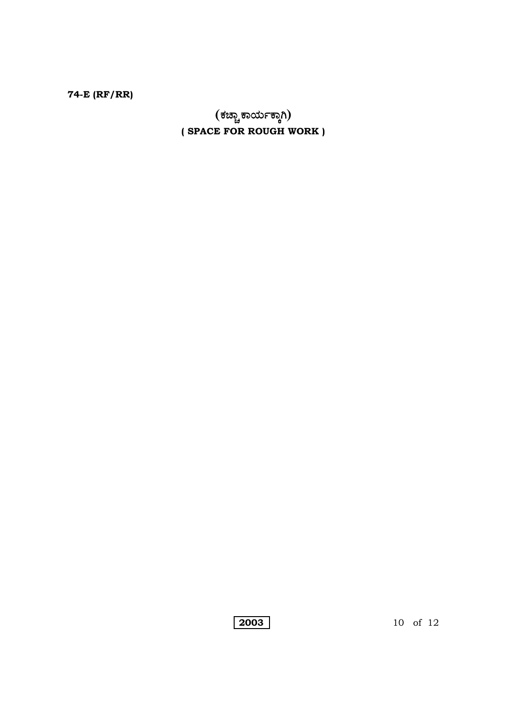(ಕಚ್ಚಾ ಕಾರ್ಯಕ್ಕಾಗಿ) (SPACE FOR ROUGH WORK)

 $\boxed{2003}$ 

10 of 12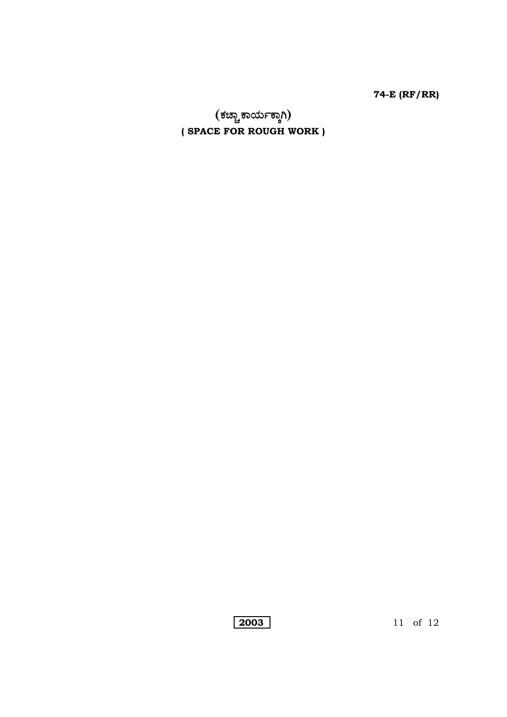(ಕಚ್ಚಾಕಾರ್ಯಕ್ಕಾಗಿ) (SPACE FOR ROUGH WORK)

11 of 12

2003